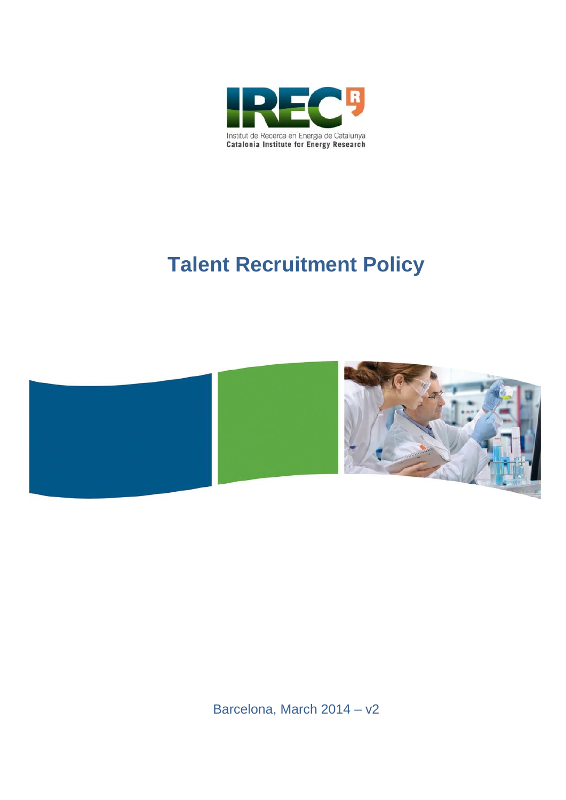

# **Talent Recruitment Policy**



Barcelona, March 2014 – v2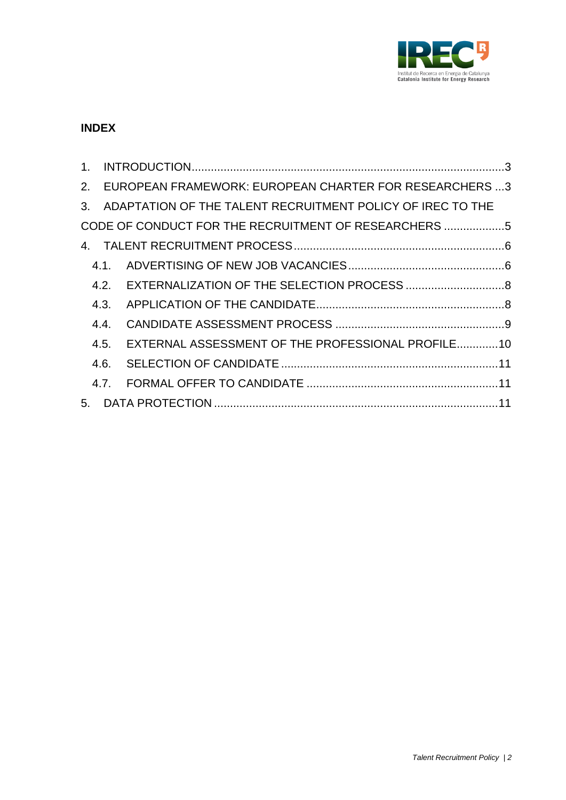

## **INDEX**

| $1_{-}$ |      |                                                               |  |
|---------|------|---------------------------------------------------------------|--|
| 2.      |      | EUROPEAN FRAMEWORK: EUROPEAN CHARTER FOR RESEARCHERS 3        |  |
|         |      | 3. ADAPTATION OF THE TALENT RECRUITMENT POLICY OF IREC TO THE |  |
|         |      | CODE OF CONDUCT FOR THE RECRUITMENT OF RESEARCHERS 5          |  |
|         |      |                                                               |  |
|         | 41   |                                                               |  |
|         | 4.2  |                                                               |  |
|         | 4.3. |                                                               |  |
|         | 4.4  |                                                               |  |
|         | 4.5  | EXTERNAL ASSESSMENT OF THE PROFESSIONAL PROFILE10             |  |
|         | 4.6. |                                                               |  |
|         | 47   |                                                               |  |
|         |      |                                                               |  |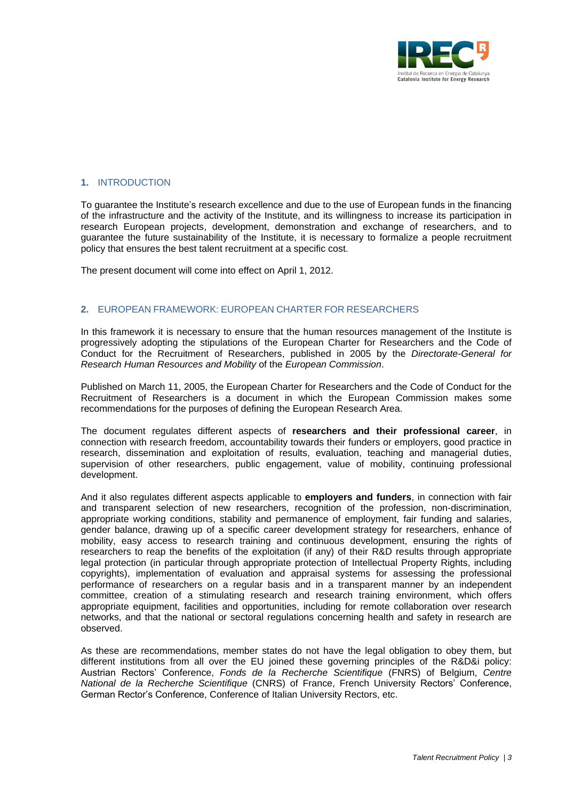

## **1.** INTRODUCTION

To guarantee the Institute's research excellence and due to the use of European funds in the financing of the infrastructure and the activity of the Institute, and its willingness to increase its participation in research European projects, development, demonstration and exchange of researchers, and to guarantee the future sustainability of the Institute, it is necessary to formalize a people recruitment policy that ensures the best talent recruitment at a specific cost.

The present document will come into effect on April 1, 2012.

#### **2.** EUROPEAN FRAMEWORK: EUROPEAN CHARTER FOR RESEARCHERS

In this framework it is necessary to ensure that the human resources management of the Institute is progressively adopting the stipulations of the European Charter for Researchers and the Code of Conduct for the Recruitment of Researchers, published in 2005 by the *Directorate-General for Research Human Resources and Mobility* of the *European Commission*.

Published on March 11, 2005, the European Charter for Researchers and the Code of Conduct for the Recruitment of Researchers is a document in which the European Commission makes some recommendations for the purposes of defining the European Research Area.

The document regulates different aspects of **researchers and their professional career**, in connection with research freedom, accountability towards their funders or employers, good practice in research, dissemination and exploitation of results, evaluation, teaching and managerial duties, supervision of other researchers, public engagement, value of mobility, continuing professional development.

And it also regulates different aspects applicable to **employers and funders**, in connection with fair and transparent selection of new researchers, recognition of the profession, non-discrimination, appropriate working conditions, stability and permanence of employment, fair funding and salaries, gender balance, drawing up of a specific career development strategy for researchers, enhance of mobility, easy access to research training and continuous development, ensuring the rights of researchers to reap the benefits of the exploitation (if any) of their R&D results through appropriate legal protection (in particular through appropriate protection of Intellectual Property Rights, including copyrights), implementation of evaluation and appraisal systems for assessing the professional performance of researchers on a regular basis and in a transparent manner by an independent committee, creation of a stimulating research and research training environment, which offers appropriate equipment, facilities and opportunities, including for remote collaboration over research networks, and that the national or sectoral regulations concerning health and safety in research are observed.

As these are recommendations, member states do not have the legal obligation to obey them, but different institutions from all over the EU joined these governing principles of the R&D&i policy: Austrian Rectors' Conference, *Fonds de la Recherche Scientifique* (FNRS) of Belgium, *Centre National de la Recherche Scientifique* (CNRS) of France, French University Rectors' Conference, German Rector's Conference, Conference of Italian University Rectors, etc.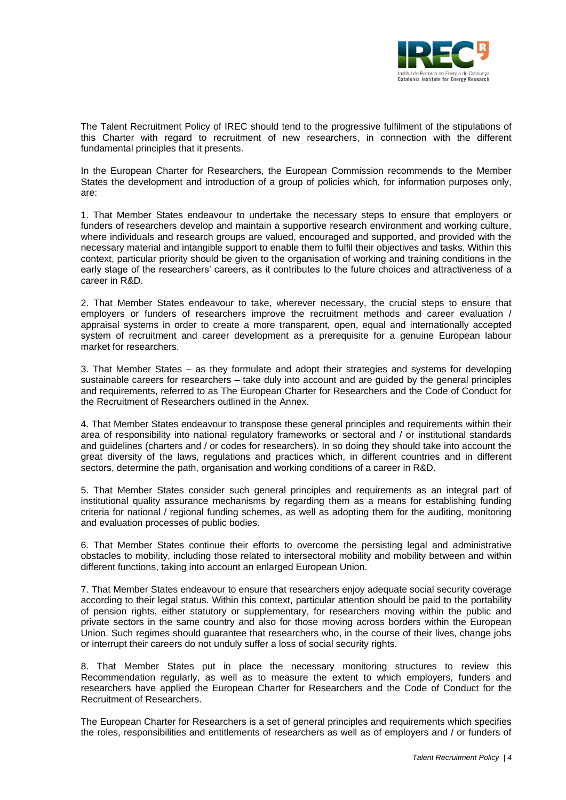

The Talent Recruitment Policy of IREC should tend to the progressive fulfilment of the stipulations of this Charter with regard to recruitment of new researchers, in connection with the different fundamental principles that it presents.

In the European Charter for Researchers, the European Commission recommends to the Member States the development and introduction of a group of policies which, for information purposes only, are:

1. That Member States endeavour to undertake the necessary steps to ensure that employers or funders of researchers develop and maintain a supportive research environment and working culture, where individuals and research groups are valued, encouraged and supported, and provided with the necessary material and intangible support to enable them to fulfil their objectives and tasks. Within this context, particular priority should be given to the organisation of working and training conditions in the early stage of the researchers' careers, as it contributes to the future choices and attractiveness of a career in R&D.

2. That Member States endeavour to take, wherever necessary, the crucial steps to ensure that employers or funders of researchers improve the recruitment methods and career evaluation / appraisal systems in order to create a more transparent, open, equal and internationally accepted system of recruitment and career development as a prerequisite for a genuine European labour market for researchers.

3. That Member States – as they formulate and adopt their strategies and systems for developing sustainable careers for researchers – take duly into account and are guided by the general principles and requirements, referred to as The European Charter for Researchers and the Code of Conduct for the Recruitment of Researchers outlined in the Annex.

4. That Member States endeavour to transpose these general principles and requirements within their area of responsibility into national regulatory frameworks or sectoral and / or institutional standards and guidelines (charters and / or codes for researchers). In so doing they should take into account the great diversity of the laws, regulations and practices which, in different countries and in different sectors, determine the path, organisation and working conditions of a career in R&D.

5. That Member States consider such general principles and requirements as an integral part of institutional quality assurance mechanisms by regarding them as a means for establishing funding criteria for national / regional funding schemes, as well as adopting them for the auditing, monitoring and evaluation processes of public bodies.

6. That Member States continue their efforts to overcome the persisting legal and administrative obstacles to mobility, including those related to intersectoral mobility and mobility between and within different functions, taking into account an enlarged European Union.

7. That Member States endeavour to ensure that researchers enjoy adequate social security coverage according to their legal status. Within this context, particular attention should be paid to the portability of pension rights, either statutory or supplementary, for researchers moving within the public and private sectors in the same country and also for those moving across borders within the European Union. Such regimes should guarantee that researchers who, in the course of their lives, change jobs or interrupt their careers do not unduly suffer a loss of social security rights.

8. That Member States put in place the necessary monitoring structures to review this Recommendation regularly, as well as to measure the extent to which employers, funders and researchers have applied the European Charter for Researchers and the Code of Conduct for the Recruitment of Researchers.

The European Charter for Researchers is a set of general principles and requirements which specifies the roles, responsibilities and entitlements of researchers as well as of employers and / or funders of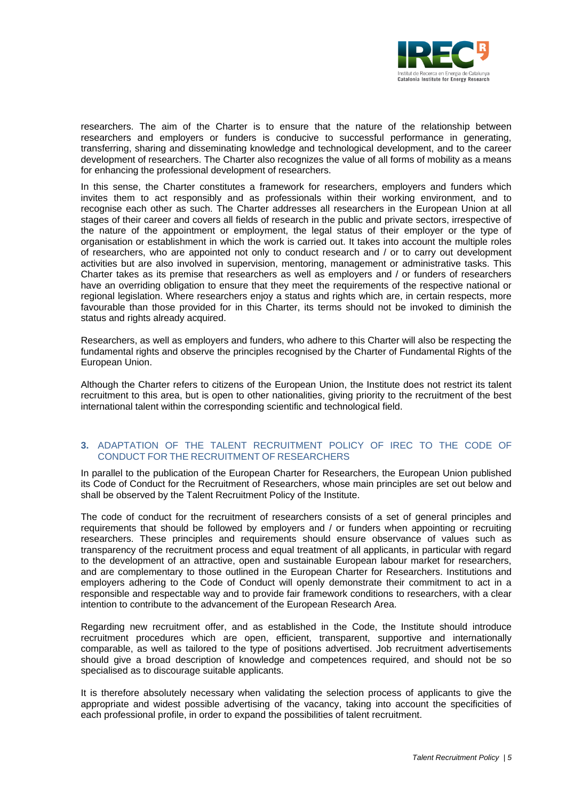

researchers. The aim of the Charter is to ensure that the nature of the relationship between researchers and employers or funders is conducive to successful performance in generating, transferring, sharing and disseminating knowledge and technological development, and to the career development of researchers. The Charter also recognizes the value of all forms of mobility as a means for enhancing the professional development of researchers.

In this sense, the Charter constitutes a framework for researchers, employers and funders which invites them to act responsibly and as professionals within their working environment, and to recognise each other as such. The Charter addresses all researchers in the European Union at all stages of their career and covers all fields of research in the public and private sectors, irrespective of the nature of the appointment or employment, the legal status of their employer or the type of organisation or establishment in which the work is carried out. It takes into account the multiple roles of researchers, who are appointed not only to conduct research and / or to carry out development activities but are also involved in supervision, mentoring, management or administrative tasks. This Charter takes as its premise that researchers as well as employers and / or funders of researchers have an overriding obligation to ensure that they meet the requirements of the respective national or regional legislation. Where researchers enjoy a status and rights which are, in certain respects, more favourable than those provided for in this Charter, its terms should not be invoked to diminish the status and rights already acquired.

Researchers, as well as employers and funders, who adhere to this Charter will also be respecting the fundamental rights and observe the principles recognised by the Charter of Fundamental Rights of the European Union.

Although the Charter refers to citizens of the European Union, the Institute does not restrict its talent recruitment to this area, but is open to other nationalities, giving priority to the recruitment of the best international talent within the corresponding scientific and technological field.

#### **3.** ADAPTATION OF THE TALENT RECRUITMENT POLICY OF IREC TO THE CODE OF CONDUCT FOR THE RECRUITMENT OF RESEARCHERS

In parallel to the publication of the European Charter for Researchers, the European Union published its Code of Conduct for the Recruitment of Researchers, whose main principles are set out below and shall be observed by the Talent Recruitment Policy of the Institute.

The code of conduct for the recruitment of researchers consists of a set of general principles and requirements that should be followed by employers and / or funders when appointing or recruiting researchers. These principles and requirements should ensure observance of values such as transparency of the recruitment process and equal treatment of all applicants, in particular with regard to the development of an attractive, open and sustainable European labour market for researchers, and are complementary to those outlined in the European Charter for Researchers. Institutions and employers adhering to the Code of Conduct will openly demonstrate their commitment to act in a responsible and respectable way and to provide fair framework conditions to researchers, with a clear intention to contribute to the advancement of the European Research Area.

Regarding new recruitment offer, and as established in the Code, the Institute should introduce recruitment procedures which are open, efficient, transparent, supportive and internationally comparable, as well as tailored to the type of positions advertised. Job recruitment advertisements should give a broad description of knowledge and competences required, and should not be so specialised as to discourage suitable applicants.

It is therefore absolutely necessary when validating the selection process of applicants to give the appropriate and widest possible advertising of the vacancy, taking into account the specificities of each professional profile, in order to expand the possibilities of talent recruitment.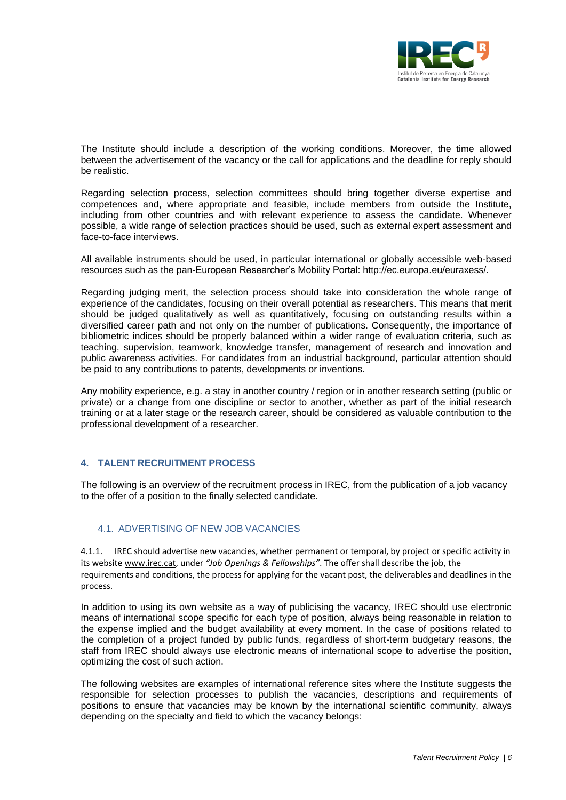

The Institute should include a description of the working conditions. Moreover, the time allowed between the advertisement of the vacancy or the call for applications and the deadline for reply should be realistic.

Regarding selection process, selection committees should bring together diverse expertise and competences and, where appropriate and feasible, include members from outside the Institute, including from other countries and with relevant experience to assess the candidate. Whenever possible, a wide range of selection practices should be used, such as external expert assessment and face-to-face interviews.

All available instruments should be used, in particular international or globally accessible web-based resources such as the pan-European Researcher's Mobility Portal: [http://ec.europa.eu/euraxess/.](http://ec.europa.eu/euraxess/)

Regarding judging merit, the selection process should take into consideration the whole range of experience of the candidates, focusing on their overall potential as researchers. This means that merit should be judged qualitatively as well as quantitatively, focusing on outstanding results within a diversified career path and not only on the number of publications. Consequently, the importance of bibliometric indices should be properly balanced within a wider range of evaluation criteria, such as teaching, supervision, teamwork, knowledge transfer, management of research and innovation and public awareness activities. For candidates from an industrial background, particular attention should be paid to any contributions to patents, developments or inventions.

Any mobility experience, e.g. a stay in another country / region or in another research setting (public or private) or a change from one discipline or sector to another, whether as part of the initial research training or at a later stage or the research career, should be considered as valuable contribution to the professional development of a researcher.

## **4. TALENT RECRUITMENT PROCESS**

The following is an overview of the recruitment process in IREC, from the publication of a job vacancy to the offer of a position to the finally selected candidate.

#### 4.1. ADVERTISING OF NEW JOB VACANCIES

4.1.1. IREC should advertise new vacancies, whether permanent or temporal, by project or specific activity in its website [www.irec.cat,](http://www.irec.cat/) under *"Job Openings & Fellowships"*. The offer shall describe the job, the requirements and conditions, the process for applying for the vacant post, the deliverables and deadlines in the process.

In addition to using its own website as a way of publicising the vacancy, IREC should use electronic means of international scope specific for each type of position, always being reasonable in relation to the expense implied and the budget availability at every moment. In the case of positions related to the completion of a project funded by public funds, regardless of short-term budgetary reasons, the staff from IREC should always use electronic means of international scope to advertise the position, optimizing the cost of such action.

The following websites are examples of international reference sites where the Institute suggests the responsible for selection processes to publish the vacancies, descriptions and requirements of positions to ensure that vacancies may be known by the international scientific community, always depending on the specialty and field to which the vacancy belongs: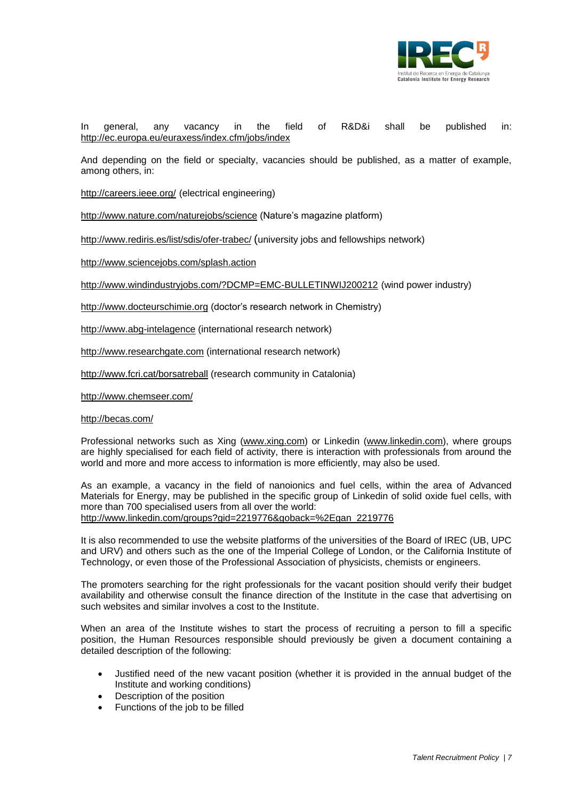

In general, any vacancy in the field of R&D&i shall be published in: <http://ec.europa.eu/euraxess/index.cfm/jobs/index>

And depending on the field or specialty, vacancies should be published, as a matter of example, among others, in:

<http://careers.ieee.org/> (electrical engineering)

<http://www.nature.com/naturejobs/science> (Nature's magazine platform)

http://www.rediris.es/list/sdis/ofer-trabec/ (university jobs and fellowships network)

<http://www.sciencejobs.com/splash.action>

<http://www.windindustryjobs.com/?DCMP=EMC-BULLETINWIJ200212> (wind power industry)

[http://www.docteurschimie.org](http://www.docteurschimie.org/) (doctor's research network in Chemistry)

[http://www.abg-intelagence](http://www.abg-intelagence/) (international research network)

[http://www.researchgate.com](http://www.researchgate.com/) (international research network)

<http://www.fcri.cat/borsatreball> (research community in Catalonia)

<http://www.chemseer.com/>

#### <http://becas.com/>

Professional networks such as Xing (www.xing.com) or Linkedin [\(www.linkedin.com\)](http://www.linkedin.com/), where groups are highly specialised for each field of activity, there is interaction with professionals from around the world and more and more access to information is more efficiently, may also be used.

As an example, a vacancy in the field of nanoionics and fuel cells, within the area of Advanced Materials for Energy, may be published in the specific group of Linkedin of solid oxide fuel cells, with more than 700 specialised users from all over the world: http://www.linkedin.com/groups?gid=2219776&goback=%2Egan\_2219776

It is also recommended to use the website platforms of the universities of the Board of IREC (UB, UPC and URV) and others such as the one of the Imperial College of London, or the California Institute of Technology, or even those of the Professional Association of physicists, chemists or engineers.

The promoters searching for the right professionals for the vacant position should verify their budget availability and otherwise consult the finance direction of the Institute in the case that advertising on such websites and similar involves a cost to the Institute.

When an area of the Institute wishes to start the process of recruiting a person to fill a specific position, the Human Resources responsible should previously be given a document containing a detailed description of the following:

- Justified need of the new vacant position (whether it is provided in the annual budget of the Institute and working conditions)
- Description of the position
- Functions of the job to be filled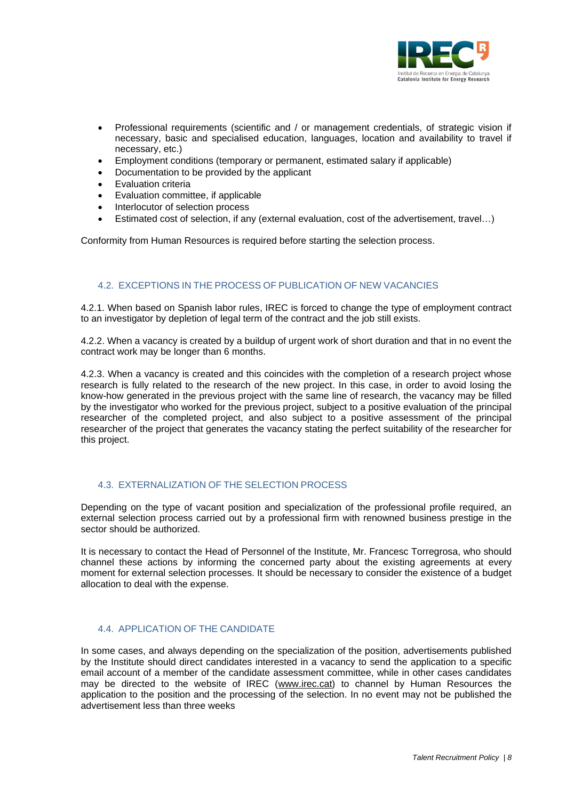

- Professional requirements (scientific and / or management credentials, of strategic vision if necessary, basic and specialised education, languages, location and availability to travel if necessary, etc.)
- Employment conditions (temporary or permanent, estimated salary if applicable)
- Documentation to be provided by the applicant
- Evaluation criteria
- Evaluation committee, if applicable
- Interlocutor of selection process
- Estimated cost of selection, if any (external evaluation, cost of the advertisement, travel...)

Conformity from Human Resources is required before starting the selection process.

## 4.2. EXCEPTIONS IN THE PROCESS OF PUBLICATION OF NEW VACANCIES

4.2.1. When based on Spanish labor rules, IREC is forced to change the type of employment contract to an investigator by depletion of legal term of the contract and the job still exists.

4.2.2. When a vacancy is created by a buildup of urgent work of short duration and that in no event the contract work may be longer than 6 months.

4.2.3. When a vacancy is created and this coincides with the completion of a research project whose research is fully related to the research of the new project. In this case, in order to avoid losing the know-how generated in the previous project with the same line of research, the vacancy may be filled by the investigator who worked for the previous project, subject to a positive evaluation of the principal researcher of the completed project, and also subject to a positive assessment of the principal researcher of the project that generates the vacancy stating the perfect suitability of the researcher for this project.

## 4.3. EXTERNALIZATION OF THE SELECTION PROCESS

Depending on the type of vacant position and specialization of the professional profile required, an external selection process carried out by a professional firm with renowned business prestige in the sector should be authorized.

It is necessary to contact the Head of Personnel of the Institute, Mr. Francesc Torregrosa, who should channel these actions by informing the concerned party about the existing agreements at every moment for external selection processes. It should be necessary to consider the existence of a budget allocation to deal with the expense.

## 4.4. APPLICATION OF THE CANDIDATE

In some cases, and always depending on the specialization of the position, advertisements published by the Institute should direct candidates interested in a vacancy to send the application to a specific email account of a member of the candidate assessment committee, while in other cases candidates may be directed to the website of IREC [\(www.irec.cat\)](http://www.irec.cat/) to channel by Human Resources the application to the position and the processing of the selection. In no event may not be published the advertisement less than three weeks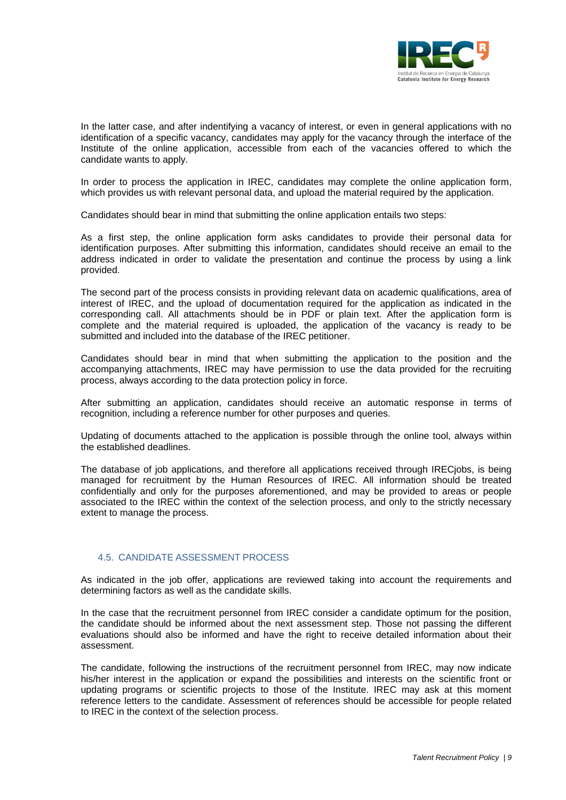

In the latter case, and after indentifying a vacancy of interest, or even in general applications with no identification of a specific vacancy, candidates may apply for the vacancy through the interface of the Institute of the online application, accessible from each of the vacancies offered to which the candidate wants to apply.

In order to process the application in IREC, candidates may complete the online application form, which provides us with relevant personal data, and upload the material required by the application.

Candidates should bear in mind that submitting the online application entails two steps:

As a first step, the online application form asks candidates to provide their personal data for identification purposes. After submitting this information, candidates should receive an email to the address indicated in order to validate the presentation and continue the process by using a link provided.

The second part of the process consists in providing relevant data on academic qualifications, area of interest of IREC, and the upload of documentation required for the application as indicated in the corresponding call. All attachments should be in PDF or plain text. After the application form is complete and the material required is uploaded, the application of the vacancy is ready to be submitted and included into the database of the IREC petitioner.

Candidates should bear in mind that when submitting the application to the position and the accompanying attachments, IREC may have permission to use the data provided for the recruiting process, always according to the data protection policy in force.

After submitting an application, candidates should receive an automatic response in terms of recognition, including a reference number for other purposes and queries.

Updating of documents attached to the application is possible through the online tool, always within the established deadlines.

The database of job applications, and therefore all applications received through IRECjobs, is being managed for recruitment by the Human Resources of IREC. All information should be treated confidentially and only for the purposes aforementioned, and may be provided to areas or people associated to the IREC within the context of the selection process, and only to the strictly necessary extent to manage the process.

## 4.5. CANDIDATE ASSESSMENT PROCESS

As indicated in the job offer, applications are reviewed taking into account the requirements and determining factors as well as the candidate skills.

In the case that the recruitment personnel from IREC consider a candidate optimum for the position, the candidate should be informed about the next assessment step. Those not passing the different evaluations should also be informed and have the right to receive detailed information about their assessment.

The candidate, following the instructions of the recruitment personnel from IREC, may now indicate his/her interest in the application or expand the possibilities and interests on the scientific front or updating programs or scientific projects to those of the Institute. IREC may ask at this moment reference letters to the candidate. Assessment of references should be accessible for people related to IREC in the context of the selection process.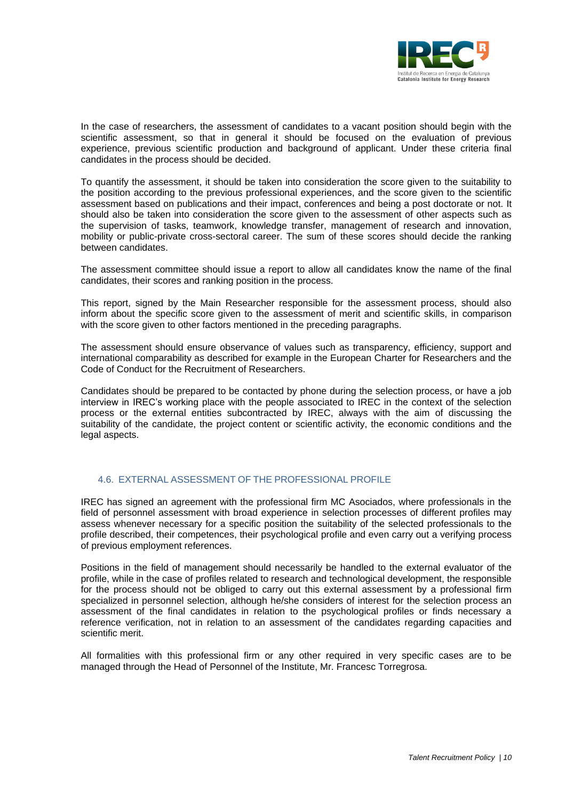

In the case of researchers, the assessment of candidates to a vacant position should begin with the scientific assessment, so that in general it should be focused on the evaluation of previous experience, previous scientific production and background of applicant. Under these criteria final candidates in the process should be decided.

To quantify the assessment, it should be taken into consideration the score given to the suitability to the position according to the previous professional experiences, and the score given to the scientific assessment based on publications and their impact, conferences and being a post doctorate or not. It should also be taken into consideration the score given to the assessment of other aspects such as the supervision of tasks, teamwork, knowledge transfer, management of research and innovation, mobility or public-private cross-sectoral career. The sum of these scores should decide the ranking between candidates.

The assessment committee should issue a report to allow all candidates know the name of the final candidates, their scores and ranking position in the process.

This report, signed by the Main Researcher responsible for the assessment process, should also inform about the specific score given to the assessment of merit and scientific skills, in comparison with the score given to other factors mentioned in the preceding paragraphs.

The assessment should ensure observance of values such as transparency, efficiency, support and international comparability as described for example in the European Charter for Researchers and the Code of Conduct for the Recruitment of Researchers.

Candidates should be prepared to be contacted by phone during the selection process, or have a job interview in IREC's working place with the people associated to IREC in the context of the selection process or the external entities subcontracted by IREC, always with the aim of discussing the suitability of the candidate, the project content or scientific activity, the economic conditions and the legal aspects.

## 4.6. EXTERNAL ASSESSMENT OF THE PROFESSIONAL PROFILE

IREC has signed an agreement with the professional firm MC Asociados, where professionals in the field of personnel assessment with broad experience in selection processes of different profiles may assess whenever necessary for a specific position the suitability of the selected professionals to the profile described, their competences, their psychological profile and even carry out a verifying process of previous employment references.

Positions in the field of management should necessarily be handled to the external evaluator of the profile, while in the case of profiles related to research and technological development, the responsible for the process should not be obliged to carry out this external assessment by a professional firm specialized in personnel selection, although he/she considers of interest for the selection process an assessment of the final candidates in relation to the psychological profiles or finds necessary a reference verification, not in relation to an assessment of the candidates regarding capacities and scientific merit.

All formalities with this professional firm or any other required in very specific cases are to be managed through the Head of Personnel of the Institute, Mr. Francesc Torregrosa.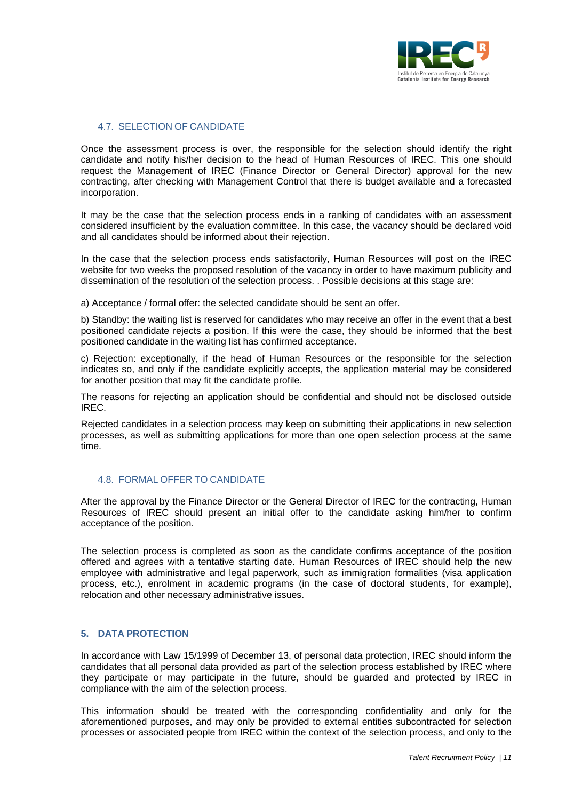

#### 4.7. SELECTION OF CANDIDATE

Once the assessment process is over, the responsible for the selection should identify the right candidate and notify his/her decision to the head of Human Resources of IREC. This one should request the Management of IREC (Finance Director or General Director) approval for the new contracting, after checking with Management Control that there is budget available and a forecasted incorporation.

It may be the case that the selection process ends in a ranking of candidates with an assessment considered insufficient by the evaluation committee. In this case, the vacancy should be declared void and all candidates should be informed about their rejection.

In the case that the selection process ends satisfactorily, Human Resources will post on the IREC website for two weeks the proposed resolution of the vacancy in order to have maximum publicity and dissemination of the resolution of the selection process. . Possible decisions at this stage are:

a) Acceptance / formal offer: the selected candidate should be sent an offer.

b) Standby: the waiting list is reserved for candidates who may receive an offer in the event that a best positioned candidate rejects a position. If this were the case, they should be informed that the best positioned candidate in the waiting list has confirmed acceptance.

c) Rejection: exceptionally, if the head of Human Resources or the responsible for the selection indicates so, and only if the candidate explicitly accepts, the application material may be considered for another position that may fit the candidate profile.

The reasons for rejecting an application should be confidential and should not be disclosed outside IREC.

Rejected candidates in a selection process may keep on submitting their applications in new selection processes, as well as submitting applications for more than one open selection process at the same time.

## 4.8. FORMAL OFFER TO CANDIDATE

After the approval by the Finance Director or the General Director of IREC for the contracting, Human Resources of IREC should present an initial offer to the candidate asking him/her to confirm acceptance of the position.

The selection process is completed as soon as the candidate confirms acceptance of the position offered and agrees with a tentative starting date. Human Resources of IREC should help the new employee with administrative and legal paperwork, such as immigration formalities (visa application process, etc.), enrolment in academic programs (in the case of doctoral students, for example), relocation and other necessary administrative issues.

#### **5. DATA PROTECTION**

In accordance with Law 15/1999 of December 13, of personal data protection, IREC should inform the candidates that all personal data provided as part of the selection process established by IREC where they participate or may participate in the future, should be guarded and protected by IREC in compliance with the aim of the selection process.

This information should be treated with the corresponding confidentiality and only for the aforementioned purposes, and may only be provided to external entities subcontracted for selection processes or associated people from IREC within the context of the selection process, and only to the